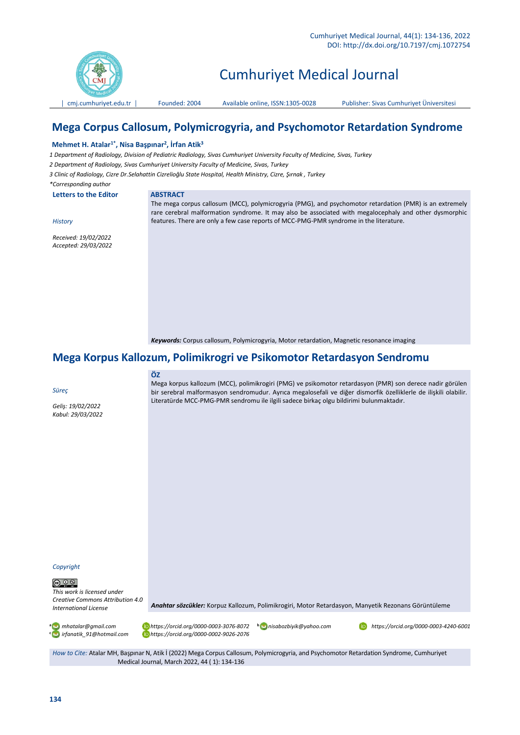

# Cumhuriyet Medical Journal

# **Mega Corpus Callosum, Polymicrogyria, and Psychomotor Retardation Syndrome**

## **Mehmet H. Atalar1\* , Nisa Başpınar<sup>2</sup> , İrfan Atik<sup>3</sup>**

*1 Department of Radiology, Division of Pediatric Radiology, Sivas Cumhuriyet University Faculty of Medicine, Sivas, Turkey*

*2 Department of Radiology, Sivas Cumhuriyet University Faculty of Medicine, Sivas, Turkey*

*3 Clinic of Radiology, Cizre Dr.Selahattin Cizrelioğlu State Hospital, Health Ministry, Cizre, Şırnak , Turkey*

*\*Corresponding author*

*History*

**Letters to the Editor ABSTRACT**

The mega corpus callosum (MCC), polymicrogyria (PMG), and psychomotor retardation (PMR) is an extremely rare cerebral malformation syndrome. It may also be associated with megalocephaly and other dysmorphic features. There are only a few case reports of MCC-PMG-PMR syndrome in the literature.

*Received: 19/02/2022 Accepted: 29/03/2022*

*Keywords:* Corpus callosum, Polymicrogyria, Motor retardation, Magnetic resonance imaging

# **Mega Korpus Kallozum, Polimikrogri ve Psikomotor Retardasyon Sendromu**

#### *Süreç*

*Geliş: 19/02/2022 Kabul: 29/03/2022*

# **ÖZ**

Mega korpus kallozum (MCC), polimikrogiri (PMG) ve psikomotor retardasyon (PMR) son derece nadir görülen bir serebral malformasyon sendromudur. Ayrıca megalosefali ve diğer dismorfik özelliklerle de ilişkili olabilir. Literatürde MCC-PMG-PMR sendromu ile ilgili sadece birkaç olgu bildirimi bulunmaktadır.

*Copyright*

# <u>@ 0 ම</u>

*This work is licensed under Creative Commons Attribution 4.0 International License*



**<sup>a</sup>** *mhatalar@gmail.com https://orcid.org/0000-0003-3076-8072***<sup>b</sup>** *nisabozbiyik@yahoo.com https://orcid.org/0000-0003-4240-6001 irfanatik\_91@hotmail.com https://orcid.org/0000-0002-9026-2076*

*Anahtar sözcükler:* Korpuz Kallozum, Polimikrogiri, Motor Retardasyon, Manyetik Rezonans Görüntüleme

*How to Cite:* Atalar MH, Başpınar N, Atik İ (2022) Mega Corpus Callosum, Polymicrogyria, and Psychomotor Retardation Syndrome, Cumhuriyet Medical Journal, March 2022, 44 ( 1): 134-136

**c**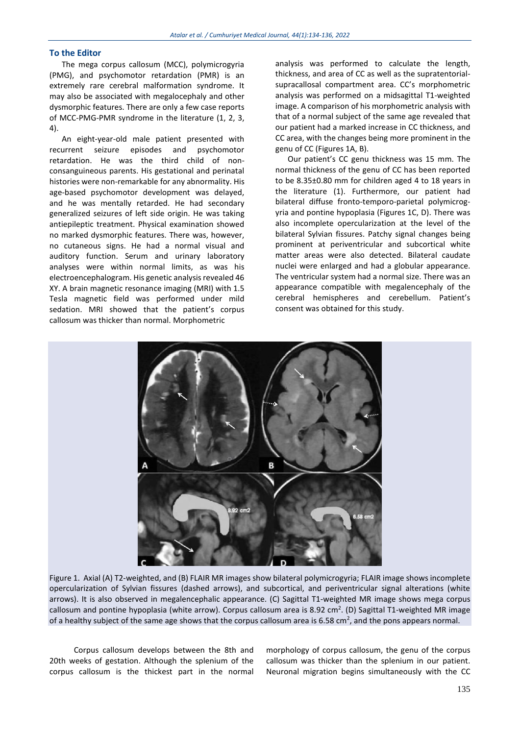## **To the Editor**

The mega corpus callosum (MCC), polymicrogyria (PMG), and psychomotor retardation (PMR) is an extremely rare cerebral malformation syndrome. It may also be associated with megalocephaly and other dysmorphic features. There are only a few case reports of MCC-PMG-PMR syndrome in the literature (1, 2, 3, 4).

An eight-year-old male patient presented with recurrent seizure episodes and psychomotor retardation. He was the third child of nonconsanguineous parents. His gestational and perinatal histories were non-remarkable for any abnormality. His age-based psychomotor development was delayed, and he was mentally retarded. He had secondary generalized seizures of left side origin. He was taking antiepileptic treatment. Physical examination showed no marked dysmorphic features. There was, however, no cutaneous signs. He had a normal visual and auditory function. Serum and urinary laboratory analyses were within normal limits, as was his electroencephalogram. His genetic analysis revealed 46 XY. A brain magnetic resonance imaging (MRI) with 1.5 Tesla magnetic field was performed under mild sedation. MRI showed that the patient's corpus callosum was thicker than normal. Morphometric

analysis was performed to calculate the length, thickness, and area of CC as well as the supratentorialsupracallosal compartment area. CC's morphometric analysis was performed on a midsagittal T1-weighted image. A comparison of his morphometric analysis with that of a normal subject of the same age revealed that our patient had a marked increase in CC thickness, and CC area, with the changes being more prominent in the genu of CC (Figures 1A, B).

Our patient's CC genu thickness was 15 mm. The normal thickness of the genu of CC has been reported to be 8.35±0.80 mm for children aged 4 to 18 years in the literature (1). Furthermore, our patient had bilateral diffuse fronto-temporo-parietal polymicrogyria and pontine hypoplasia (Figures 1C, D). There was also incomplete opercularization at the level of the bilateral Sylvian fissures. Patchy signal changes being prominent at periventricular and subcortical white matter areas were also detected. Bilateral caudate nuclei were enlarged and had a globular appearance. The ventricular system had a normal size. There was an appearance compatible with megalencephaly of the cerebral hemispheres and cerebellum. Patient's consent was obtained for this study.



Figure 1. Axial (A) T2-weighted, and (B) FLAIR MR images show bilateral polymicrogyria; FLAIR image shows incomplete opercularization of Sylvian fissures (dashed arrows), and subcortical, and periventricular signal alterations (white arrows). It is also observed in megalencephalic appearance. (C) Sagittal T1-weighted MR image shows mega corpus callosum and pontine hypoplasia (white arrow). Corpus callosum area is 8.92 cm<sup>2</sup>. (D) Sagittal T1-weighted MR image of a healthy subject of the same age shows that the corpus callosum area is 6.58 cm<sup>2</sup>, and the pons appears normal.

Corpus callosum develops between the 8th and 20th weeks of gestation. Although the splenium of the corpus callosum is the thickest part in the normal

morphology of corpus callosum, the genu of the corpus callosum was thicker than the splenium in our patient. Neuronal migration begins simultaneously with the CC